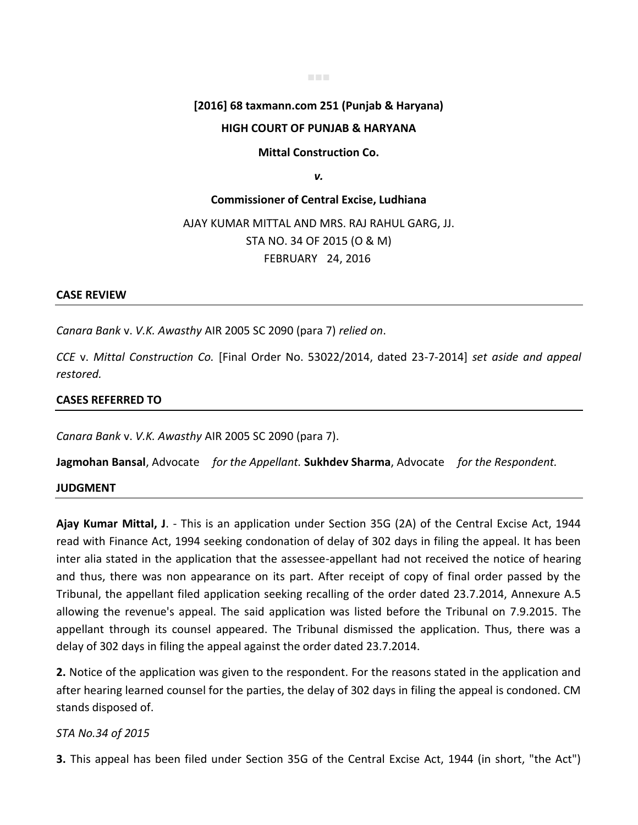# **[2016] 68 taxmann.com 251 (Punjab & Haryana)**

■■■

### **HIGH COURT OF PUNJAB & HARYANA**

#### **Mittal Construction Co.**

*v.*

## **Commissioner of Central Excise, Ludhiana**  AJAY KUMAR MITTAL AND MRS. RAJ RAHUL GARG, JJ. STA NO. 34 OF 2015 (O & M) FEBRUARY 24, 2016

#### **CASE REVIEW**

*Canara Bank* v. *V.K. Awasthy* AIR 2005 SC 2090 (para 7) *relied on*.

*CCE* v. *Mittal Construction Co.* [Final Order No. 53022/2014, dated 23-7-2014] *set aside and appeal restored.*

#### **CASES REFERRED TO**

*Canara Bank* v. *V.K. Awasthy* AIR 2005 SC 2090 (para 7).

**Jagmohan Bansal**, Advocate *for the Appellant.* **Sukhdev Sharma**, Advocate *for the Respondent.*

#### **JUDGMENT**

**Ajay Kumar Mittal, J**. - This is an application under Section 35G (2A) of the Central Excise Act, 1944 read with Finance Act, 1994 seeking condonation of delay of 302 days in filing the appeal. It has been inter alia stated in the application that the assessee-appellant had not received the notice of hearing and thus, there was non appearance on its part. After receipt of copy of final order passed by the Tribunal, the appellant filed application seeking recalling of the order dated 23.7.2014, Annexure A.5 allowing the revenue's appeal. The said application was listed before the Tribunal on 7.9.2015. The appellant through its counsel appeared. The Tribunal dismissed the application. Thus, there was a delay of 302 days in filing the appeal against the order dated 23.7.2014.

**2.** Notice of the application was given to the respondent. For the reasons stated in the application and after hearing learned counsel for the parties, the delay of 302 days in filing the appeal is condoned. CM stands disposed of.

#### *STA No.34 of 2015*

**3.** This appeal has been filed under Section 35G of the Central Excise Act, 1944 (in short, "the Act")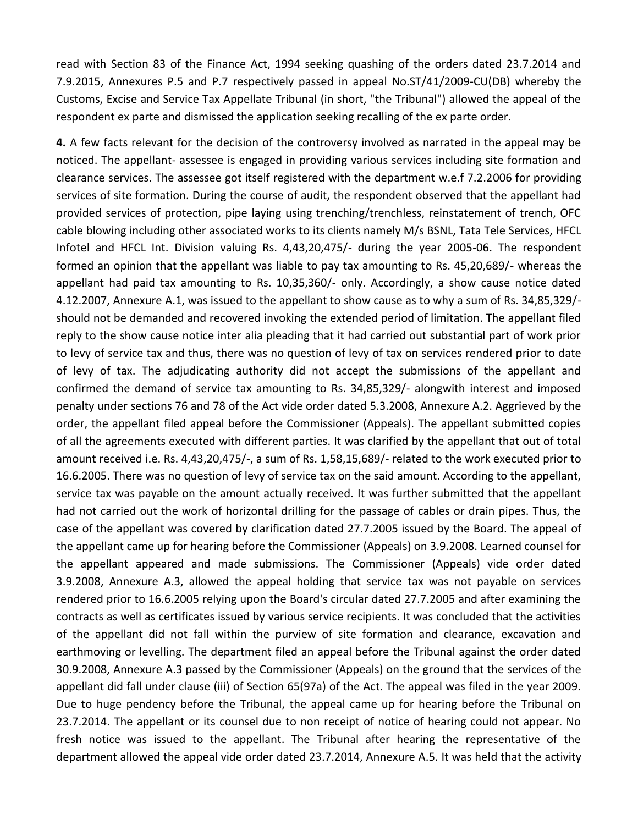read with Section 83 of the Finance Act, 1994 seeking quashing of the orders dated 23.7.2014 and 7.9.2015, Annexures P.5 and P.7 respectively passed in appeal No.ST/41/2009-CU(DB) whereby the Customs, Excise and Service Tax Appellate Tribunal (in short, "the Tribunal") allowed the appeal of the respondent ex parte and dismissed the application seeking recalling of the ex parte order.

**4.** A few facts relevant for the decision of the controversy involved as narrated in the appeal may be noticed. The appellant- assessee is engaged in providing various services including site formation and clearance services. The assessee got itself registered with the department w.e.f 7.2.2006 for providing services of site formation. During the course of audit, the respondent observed that the appellant had provided services of protection, pipe laying using trenching/trenchless, reinstatement of trench, OFC cable blowing including other associated works to its clients namely M/s BSNL, Tata Tele Services, HFCL Infotel and HFCL Int. Division valuing Rs. 4,43,20,475/- during the year 2005-06. The respondent formed an opinion that the appellant was liable to pay tax amounting to Rs. 45,20,689/- whereas the appellant had paid tax amounting to Rs. 10,35,360/- only. Accordingly, a show cause notice dated 4.12.2007, Annexure A.1, was issued to the appellant to show cause as to why a sum of Rs. 34,85,329/ should not be demanded and recovered invoking the extended period of limitation. The appellant filed reply to the show cause notice inter alia pleading that it had carried out substantial part of work prior to levy of service tax and thus, there was no question of levy of tax on services rendered prior to date of levy of tax. The adjudicating authority did not accept the submissions of the appellant and confirmed the demand of service tax amounting to Rs. 34,85,329/- alongwith interest and imposed penalty under sections 76 and 78 of the Act vide order dated 5.3.2008, Annexure A.2. Aggrieved by the order, the appellant filed appeal before the Commissioner (Appeals). The appellant submitted copies of all the agreements executed with different parties. It was clarified by the appellant that out of total amount received i.e. Rs. 4,43,20,475/-, a sum of Rs. 1,58,15,689/- related to the work executed prior to 16.6.2005. There was no question of levy of service tax on the said amount. According to the appellant, service tax was payable on the amount actually received. It was further submitted that the appellant had not carried out the work of horizontal drilling for the passage of cables or drain pipes. Thus, the case of the appellant was covered by clarification dated 27.7.2005 issued by the Board. The appeal of the appellant came up for hearing before the Commissioner (Appeals) on 3.9.2008. Learned counsel for the appellant appeared and made submissions. The Commissioner (Appeals) vide order dated 3.9.2008, Annexure A.3, allowed the appeal holding that service tax was not payable on services rendered prior to 16.6.2005 relying upon the Board's circular dated 27.7.2005 and after examining the contracts as well as certificates issued by various service recipients. It was concluded that the activities of the appellant did not fall within the purview of site formation and clearance, excavation and earthmoving or levelling. The department filed an appeal before the Tribunal against the order dated 30.9.2008, Annexure A.3 passed by the Commissioner (Appeals) on the ground that the services of the appellant did fall under clause (iii) of Section 65(97a) of the Act. The appeal was filed in the year 2009. Due to huge pendency before the Tribunal, the appeal came up for hearing before the Tribunal on 23.7.2014. The appellant or its counsel due to non receipt of notice of hearing could not appear. No fresh notice was issued to the appellant. The Tribunal after hearing the representative of the department allowed the appeal vide order dated 23.7.2014, Annexure A.5. It was held that the activity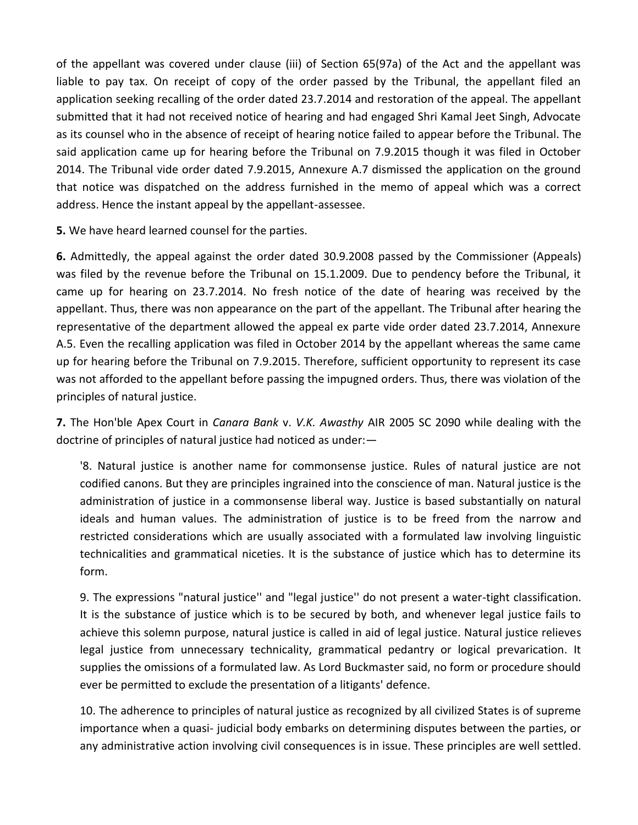of the appellant was covered under clause (iii) of Section 65(97a) of the Act and the appellant was liable to pay tax. On receipt of copy of the order passed by the Tribunal, the appellant filed an application seeking recalling of the order dated 23.7.2014 and restoration of the appeal. The appellant submitted that it had not received notice of hearing and had engaged Shri Kamal Jeet Singh, Advocate as its counsel who in the absence of receipt of hearing notice failed to appear before the Tribunal. The said application came up for hearing before the Tribunal on 7.9.2015 though it was filed in October 2014. The Tribunal vide order dated 7.9.2015, Annexure A.7 dismissed the application on the ground that notice was dispatched on the address furnished in the memo of appeal which was a correct address. Hence the instant appeal by the appellant-assessee.

**5.** We have heard learned counsel for the parties.

**6.** Admittedly, the appeal against the order dated 30.9.2008 passed by the Commissioner (Appeals) was filed by the revenue before the Tribunal on 15.1.2009. Due to pendency before the Tribunal, it came up for hearing on 23.7.2014. No fresh notice of the date of hearing was received by the appellant. Thus, there was non appearance on the part of the appellant. The Tribunal after hearing the representative of the department allowed the appeal ex parte vide order dated 23.7.2014, Annexure A.5. Even the recalling application was filed in October 2014 by the appellant whereas the same came up for hearing before the Tribunal on 7.9.2015. Therefore, sufficient opportunity to represent its case was not afforded to the appellant before passing the impugned orders. Thus, there was violation of the principles of natural justice.

**7.** The Hon'ble Apex Court in *Canara Bank* v. *V.K. Awasthy* AIR 2005 SC 2090 while dealing with the doctrine of principles of natural justice had noticed as under:—

'8. Natural justice is another name for commonsense justice. Rules of natural justice are not codified canons. But they are principles ingrained into the conscience of man. Natural justice is the administration of justice in a commonsense liberal way. Justice is based substantially on natural ideals and human values. The administration of justice is to be freed from the narrow and restricted considerations which are usually associated with a formulated law involving linguistic technicalities and grammatical niceties. It is the substance of justice which has to determine its form.

9. The expressions "natural justice'' and "legal justice'' do not present a water-tight classification. It is the substance of justice which is to be secured by both, and whenever legal justice fails to achieve this solemn purpose, natural justice is called in aid of legal justice. Natural justice relieves legal justice from unnecessary technicality, grammatical pedantry or logical prevarication. It supplies the omissions of a formulated law. As Lord Buckmaster said, no form or procedure should ever be permitted to exclude the presentation of a litigants' defence.

10. The adherence to principles of natural justice as recognized by all civilized States is of supreme importance when a quasi- judicial body embarks on determining disputes between the parties, or any administrative action involving civil consequences is in issue. These principles are well settled.